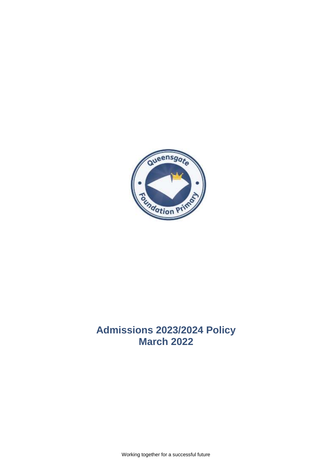

# **Admissions 2023/2024 Policy March 2022**

Working together for a successful future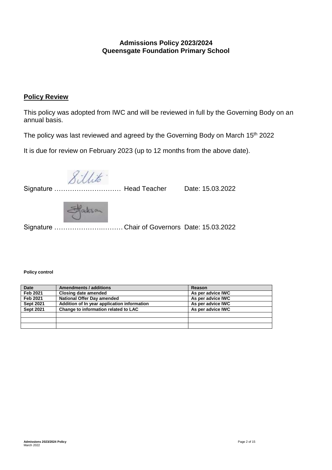# **Admissions Policy 2023/2024 Queensgate Foundation Primary School**

# **Policy Review**

This policy was adopted from IWC and will be reviewed in full by the Governing Body on an annual basis.

The policy was last reviewed and agreed by the Governing Body on March 15<sup>th</sup> 2022

It is due for review on February 2023 (up to 12 months from the above date).

Sillito.

l, Signature ………………………… Head Teacher Date: 15.03.2022

Staksa

Signature ………………….……… Chair of Governors Date: 15.03.2022

#### **Policy control**

| <b>Date</b>      | Amendments / additions                      | Reason            |
|------------------|---------------------------------------------|-------------------|
| Feb 2021         | Closing date amended                        | As per advice IWC |
| Feb 2021         | <b>National Offer Day amended</b>           | As per advice IWC |
| <b>Sept 2021</b> | Addition of In year application information | As per advice IWC |
| <b>Sept 2021</b> | Change to information related to LAC        | As per advice IWC |
|                  |                                             |                   |
|                  |                                             |                   |
|                  |                                             |                   |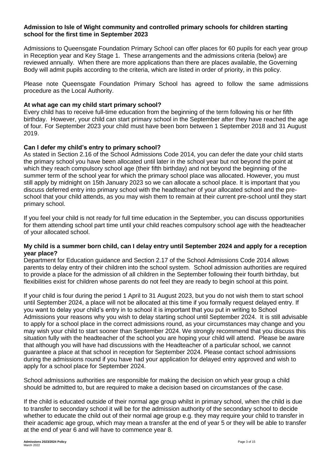# **Admission to Isle of Wight community and controlled primary schools for children starting school for the first time in September 2023**

Admissions to Queensgate Foundation Primary School can offer places for 60 pupils for each year group in Reception year and Key Stage 1. These arrangements and the admissions criteria (below) are reviewed annually. When there are more applications than there are places available, the Governing Body will admit pupils according to the criteria, which are listed in order of priority, in this policy.

Please note Queensgate Foundation Primary School has agreed to follow the same admissions procedure as the Local Authority.

#### **At what age can my child start primary school?**

Every child has to receive full-time education from the beginning of the term following his or her fifth birthday. However, your child can start primary school in the September after they have reached the age of four. For September 2023 your child must have been born between 1 September 2018 and 31 August 2019.

#### **Can I defer my child's entry to primary school?**

As stated in Section 2.16 of the School Admissions Code 2014, you can defer the date your child starts the primary school you have been allocated until later in the school year but not beyond the point at which they reach compulsory school age (their fifth birthday) and not beyond the beginning of the summer term of the school year for which the primary school place was allocated. However, you must still apply by midnight on 15th January 2023 so we can allocate a school place. It is important that you discuss deferred entry into primary school with the headteacher of your allocated school and the preschool that your child attends, as you may wish them to remain at their current pre-school until they start primary school.

If you feel your child is not ready for full time education in the September, you can discuss opportunities for them attending school part time until your child reaches compulsory school age with the headteacher of your allocated school.

#### **My child is a summer born child, can I delay entry until September 2024 and apply for a reception year place?**

Department for Education guidance and Section 2.17 of the School Admissions Code 2014 allows parents to delay entry of their children into the school system. School admission authorities are required to provide a place for the admission of all children in the September following their fourth birthday, but flexibilities exist for children whose parents do not feel they are ready to begin school at this point.

If your child is four during the period 1 April to 31 August 2023, but you do not wish them to start school until September 2024, a place will not be allocated at this time if you formally request delayed entry. If you want to delay your child's entry in to school it is important that you put in writing to School Admissions your reasons why you wish to delay starting school until September 2024. It is still advisable to apply for a school place in the correct admissions round, as your circumstances may change and you may wish your child to start sooner than September 2024. We strongly recommend that you discuss this situation fully with the headteacher of the school you are hoping your child will attend. Please be aware that although you will have had discussions with the Headteacher of a particular school, we cannot guarantee a place at that school in reception for September 2024. Please contact school admissions during the admissions round if you have had your application for delayed entry approved and wish to apply for a school place for September 2024.

School admissions authorities are responsible for making the decision on which year group a child should be admitted to, but are required to make a decision based on circumstances of the case.

If the child is educated outside of their normal age group whilst in primary school, when the child is due to transfer to secondary school it will be for the admission authority of the secondary school to decide whether to educate the child out of their normal age group e.g. they may require your child to transfer in their academic age group, which may mean a transfer at the end of year 5 or they will be able to transfer at the end of year 6 and will have to commence year 8.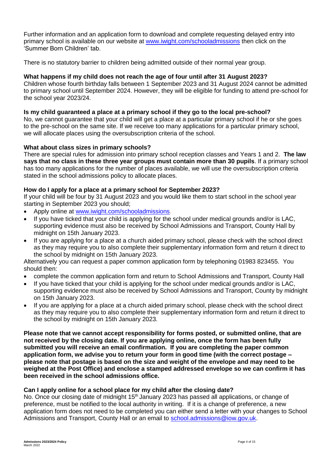Further information and an application form to download and complete requesting delayed entry into primary school is available on our website at [www.iwight.com/schooladmissions](http://www.iwight.com/schooladmissions) then click on the 'Summer Born Children' tab.

There is no statutory barrier to children being admitted outside of their normal year group.

# **What happens if my child does not reach the age of four until after 31 August 2023?**

Children whose fourth birthday falls between 1 September 2023 and 31 August 2024 cannot be admitted to primary school until September 2024. However, they will be eligible for funding to attend pre-school for the school year 2023/24.

# **Is my child guaranteed a place at a primary school if they go to the local pre-school?**

No, we cannot guarantee that your child will get a place at a particular primary school if he or she goes to the pre-school on the same site. If we receive too many applications for a particular primary school, we will allocate places using the oversubscription criteria of the school.

# **What about class sizes in primary schools?**

There are special rules for admission into primary school reception classes and Years 1 and 2. **The law says that no class in these three year groups must contain more than 30 pupils**. If a primary school has too many applications for the number of places available, we will use the oversubscription criteria stated in the school admissions policy to allocate places.

# **How do I apply for a place at a primary school for September 2023?**

If your child will be four by 31 August 2023 and you would like them to start school in the school year starting in September 2023 you should;

- Apply online at [www.iwight.com/schooladmissions.](http://www.iwight.com/schooladmissions)
- If you have ticked that your child is applying for the school under medical grounds and/or is LAC, supporting evidence must also be received by School Admissions and Transport, County Hall by midnight on 15th January 2023.
- If you are applying for a place at a church aided primary school, please check with the school direct as they may require you to also complete their supplementary information form and return it direct to the school by midnight on 15th January 2023.

Alternatively you can request a paper common application form by telephoning 01983 823455. You should then:

- complete the common application form and return to School Admissions and Transport, County Hall
- If you have ticked that your child is applying for the school under medical grounds and/or is LAC, supporting evidence must also be received by School Admissions and Transport, County by midnight on 15th January 2023.
- If you are applying for a place at a church aided primary school, please check with the school direct as they may require you to also complete their supplementary information form and return it direct to the school by midnight on 15th January 2023.

**Please note that we cannot accept responsibility for forms posted, or submitted online, that are not received by the closing date. If you are applying online, once the form has been fully submitted you will receive an email confirmation. If you are completing the paper common application form, we advise you to return your form in good time (with the correct postage – please note that postage is based on the size and weight of the envelope and may need to be weighed at the Post Office) and enclose a stamped addressed envelope so we can confirm it has been received in the school admissions office.** 

# **Can I apply online for a school place for my child after the closing date?**

No. Once our closing date of midnight 15<sup>th</sup> January 2023 has passed all applications, or change of preference, must be notified to the local authority in writing. If it is a change of preference, a new application form does not need to be completed you can either send a letter with your changes to School Admissions and Transport, County Hall or an email to [school.admissions@iow.gov.uk.](mailto:school.admissions@iow.gov.uk)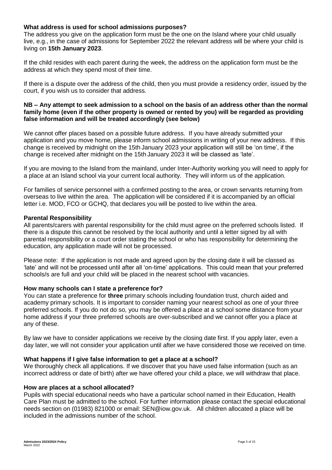# **What address is used for school admissions purposes?**

The address you give on the application form must be the one on the Island where your child usually live, e.g., in the case of admissions for September 2022 the relevant address will be where your child is living on **15th January 2023**.

If the child resides with each parent during the week, the address on the application form must be the address at which they spend most of their time.

If there is a dispute over the address of the child, then you must provide a residency order, issued by the court, if you wish us to consider that address.

#### **NB – Any attempt to seek admission to a school on the basis of an address other than the normal family home (even if the other property is owned or rented by you) will be regarded as providing false information and will be treated accordingly (see below)**

We cannot offer places based on a possible future address. If you have already submitted your application and you move home, please inform school admissions in writing of your new address. If this change is received by midnight on the 15th January 2023 your application will still be 'on time', if the change is received after midnight on the 15th January 2023 it will be classed as 'late'.

If you are moving to the Island from the mainland, under Inter-Authority working you will need to apply for a place at an Island school via your current local authority. They will inform us of the application.

For families of service personnel with a confirmed posting to the area, or crown servants returning from overseas to live within the area. The application will be considered if it is accompanied by an official letter i.e. MOD, FCO or GCHQ, that declares you will be posted to live within the area.

#### **Parental Responsibility**

All parents/carers with parental responsibility for the child must agree on the preferred schools listed. If there is a dispute this cannot be resolved by the local authority and until a letter signed by all with parental responsibility or a court order stating the school or who has responsibility for determining the education, any application made will not be processed.

Please note: If the application is not made and agreed upon by the closing date it will be classed as 'late' and will not be processed until after all 'on-time' applications. This could mean that your preferred schools/s are full and your child will be placed in the nearest school with vacancies.

#### **How many schools can I state a preference for?**

You can state a preference for **three** primary schools including foundation trust, church aided and academy primary schools. It is important to consider naming your nearest school as one of your three preferred schools. If you do not do so, you may be offered a place at a school some distance from your home address if your three preferred schools are over-subscribed and we cannot offer you a place at any of these.

By law we have to consider applications we receive by the closing date first. If you apply later, even a day later, we will not consider your application until after we have considered those we received on time.

#### **What happens if I give false information to get a place at a school?**

We thoroughly check all applications. If we discover that you have used false information (such as an incorrect address or date of birth) after we have offered your child a place, we will withdraw that place.

#### **How are places at a school allocated?**

Pupils with special educational needs who have a particular school named in their Education, Health Care Plan must be admitted to the school. For further information please contact the special educational needs section on (01983) 821000 or email: SEN@iow.gov.uk.All children allocated a place will be included in the admissions number of the school.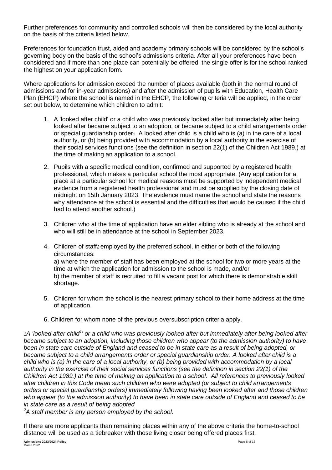Further preferences for community and controlled schools will then be considered by the local authority on the basis of the criteria listed below.

Preferences for foundation trust, aided and academy primary schools will be considered by the school's governing body on the basis of the school's admissions criteria. After all your preferences have been considered and if more than one place can potentially be offered the single offer is for the school ranked the highest on your application form.

Where applications for admission exceed the number of places available (both in the normal round of admissions and for in-year admissions) and after the admission of pupils with Education, Health Care Plan (EHCP) where the school is named in the EHCP, the following criteria will be applied, in the order set out below, to determine which children to admit:

- 1. A 'looked after child' or a child who was previously looked after but immediately after being looked after became subject to an adoption, or became subject to a child arrangements order or special guardianship order<sub>1</sub>. A looked after child is a child who is (a) in the care of a local authority, or (b) being provided with accommodation by a local authority in the exercise of their social services functions (see the definition in section 22(1) of the Children Act 1989.) at the time of making an application to a school.
- 2. Pupils with a specific medical condition, confirmed and supported by a registered health professional, which makes a particular school the most appropriate. (Any application for a place at a particular school for medical reasons must be supported by independent medical evidence from a registered health professional and must be supplied by the closing date of midnight on 15th January 2023. The evidence must name the school and state the reasons why attendance at the school is essential and the difficulties that would be caused if the child had to attend another school.)
- 3. Children who at the time of application have an elder sibling who is already at the school and who will still be in attendance at the school in September 2023.
- 4. Children of staff*2* employed by the preferred school, in either or both of the following circumstances: a) where the member of staff has been employed at the school for two or more years at the time at which the application for admission to the school is made, and/or b) the member of staff is recruited to fill a vacant post for which there is demonstrable skill shortage.
- 5. Children for whom the school is the nearest primary school to their home address at the time of application.
- 6. Children for whom none of the previous oversubscription criteria apply.

1A 'looked after child<sup>1</sup>' or a child who was previously looked after but immediately after being looked after *became subject to an adoption, including those children who appear (to the admission authority) to have been in state care outside of England and ceased to be in state care as a result of being adopted, or became subject to a child arrangements order or special guardianship order. A looked after child is a child who is (a) in the care of a local authority, or (b) being provided with accommodation by a local authority in the exercise of their social services functions (see the definition in section 22(1) of the Children Act 1989.) at the time of making an application to a school. All references to previously looked after children in this Code mean such children who were adopted (or subject to child arrangements orders or special guardianship orders) immediately following having been looked after and those children who appear (to the admission authority) to have been in state care outside of England and ceased to be in state care as a result of being adopted*

*<sup>2</sup>A staff member is any person employed by the school.*

If there are more applicants than remaining places within any of the above criteria the home-to-school distance will be used as a tiebreaker with those living closer being offered places first.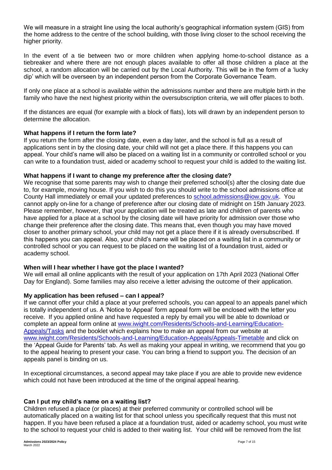We will measure in a straight line using the local authority's geographical information system (GIS) from the home address to the centre of the school building, with those living closer to the school receiving the higher priority.

In the event of a tie between two or more children when applying home-to-school distance as a tiebreaker and where there are not enough places available to offer all those children a place at the school, a random allocation will be carried out by the Local Authority. This will be in the form of a 'lucky dip' which will be overseen by an independent person from the Corporate Governance Team.

If only one place at a school is available within the admissions number and there are multiple birth in the family who have the next highest priority within the oversubscription criteria, we will offer places to both.

If the distances are equal (for example with a block of flats), lots will drawn by an independent person to determine the allocation.

# **What happens if I return the form late?**

If you return the form after the closing date, even a day later, and the school is full as a result of applications sent in by the closing date, your child will not get a place there. If this happens you can appeal. Your child's name will also be placed on a waiting list in a community or controlled school or you can write to a foundation trust, aided or academy school to request your child is added to the waiting list.

#### **What happens if I want to change my preference after the closing date?**

We recognise that some parents may wish to change their preferred school(s) after the closing date due to, for example, moving house. If you wish to do this you should write to the school admissions office at County Hall immediately or email your updated preferences to [school.admissions@iow.gov.uk.](mailto:school.admissions@iow.gov.uk) You cannot apply on-line for a change of preference after our closing date of midnight on 15th January 2023. Please remember, however, that your application will be treated as late and children of parents who have applied for a place at a school by the closing date will have priority for admission over those who change their preference after the closing date. This means that, even though you may have moved closer to another primary school, your child may not get a place there if it is already oversubscribed. If this happens you can appeal. Also, your child's name will be placed on a waiting list in a community or controlled school or you can request to be placed on the waiting list of a foundation trust, aided or academy school.

# **When will I hear whether I have got the place I wanted?**

We will email all online applicants with the result of your application on 17th April 2023 (National Offer Day for England). Some families may also receive a letter advising the outcome of their application.

#### **My application has been refused – can I appeal?**

If we cannot offer your child a place at your preferred schools, you can appeal to an appeals panel which is totally independent of us. A 'Notice to Appeal' form appeal form will be enclosed with the letter you receive. If you applied online and have requested a reply by email you will be able to download or complete an appeal form online at [www.iwight.com/Residents/Schools-and-Learning/Education-](http://www.iwight.com/Residents/Schools-and-Learning/Education-Appeals/Tasks)[Appeals/Tasks](http://www.iwight.com/Residents/Schools-and-Learning/Education-Appeals/Tasks) and the booklet which explains how to make an appeal from our website at [www.iwight.com/Residents/Schools-and-Learning/Education-Appeals/Appeals-Timetable](http://www.iwight.com/Residents/Schools-and-Learning/Education-Appeals/Appeals-Timetable) and click on the 'Appeal Guide for Parents' tab. As well as making your appeal in writing, we recommend that you go to the appeal hearing to present your case. You can bring a friend to support you. The decision of an appeals panel is binding on us.

In exceptional circumstances, a second appeal may take place if you are able to provide new evidence which could not have been introduced at the time of the original appeal hearing.

#### **Can I put my child's name on a waiting list?**

Children refused a place (or places) at their preferred community or controlled school will be automatically placed on a waiting list for that school unless you specifically request that this must not happen. If you have been refused a place at a foundation trust, aided or academy school, you must write to the school to request your child is added to their waiting list. Your child will be removed from the list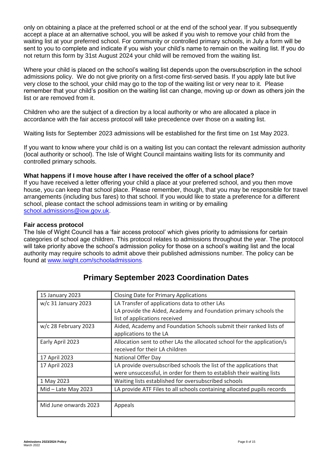only on obtaining a place at the preferred school or at the end of the school year. If you subsequently accept a place at an alternative school, you will be asked if you wish to remove your child from the waiting list at your preferred school. For community or controlled primary schools, in July a form will be sent to you to complete and indicate if you wish your child's name to remain on the waiting list. If you do not return this form by 31st August 2024 your child will be removed from the waiting list.

Where your child is placed on the school's waiting list depends upon the oversubscription in the school admissions policy. We do not give priority on a first-come first-served basis. If you apply late but live very close to the school, your child may go to the top of the waiting list or very near to it. Please remember that your child's position on the waiting list can change, moving up or down as others join the list or are removed from it.

Children who are the subject of a direction by a local authority or who are allocated a place in accordance with the fair access protocol will take precedence over those on a waiting list.

Waiting lists for September 2023 admissions will be established for the first time on 1st May 2023.

If you want to know where your child is on a waiting list you can contact the relevant admission authority (local authority or school). The Isle of Wight Council maintains waiting lists for its community and controlled primary schools.

# **What happens if I move house after I have received the offer of a school place?**

If you have received a letter offering your child a place at your preferred school, and you then move house, you can keep that school place. Please remember, though, that you may be responsible for travel arrangements (including bus fares) to that school. If you would like to state a preference for a different school, please contact the school admissions team in writing or by emailing [school.admissions@iow.gov.uk.](mailto:school.admissions@iow.gov.uk)

#### **Fair access protocol**

The Isle of Wight Council has a 'fair access protocol' which gives priority to admissions for certain categories of school age children. This protocol relates to admissions throughout the year. The protocol will take priority above the school's admission policy for those on a school's waiting list and the local authority may require schools to admit above their published admissions number. The policy can be found at [www.iwight.com/schooladmissions.](http://www.iwight.com/schooladmissions)

| 15 January 2023       | <b>Closing Date for Primary Applications</b>                            |
|-----------------------|-------------------------------------------------------------------------|
| $w/c$ 31 January 2023 | LA Transfer of applications data to other LAs                           |
|                       | LA provide the Aided, Academy and Foundation primary schools the        |
|                       | list of applications received                                           |
| w/c 28 February 2023  | Aided, Academy and Foundation Schools submit their ranked lists of      |
|                       | applications to the LA                                                  |
| Early April 2023      | Allocation sent to other LAs the allocated school for the application/s |
|                       | received for their LA children                                          |
| 17 April 2023         | National Offer Day                                                      |
| 17 April 2023         | LA provide oversubscribed schools the list of the applications that     |
|                       | were unsuccessful, in order for them to establish their waiting lists   |
| 1 May 2023            | Waiting lists established for oversubscribed schools                    |
| $Mid$ – Late May 2023 | LA provide ATF Files to all schools containing allocated pupils records |
|                       |                                                                         |
| Mid June onwards 2023 | Appeals                                                                 |
|                       |                                                                         |

# **Primary September 2023 Coordination Dates**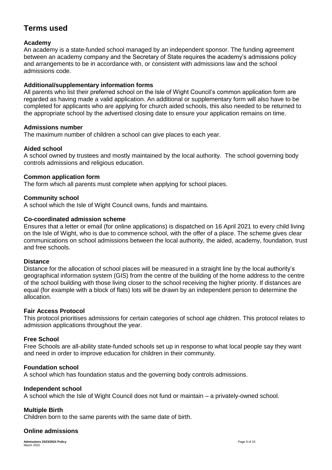# **Terms used**

# **Academy**

An academy is a state-funded school managed by an independent sponsor. The funding agreement between an academy company and the Secretary of State requires the academy's admissions policy and arrangements to be in accordance with, or consistent with admissions law and the school admissions code.

# **Additional/supplementary information forms**

All parents who list their preferred school on the Isle of Wight Council's common application form are regarded as having made a valid application. An additional or supplementary form will also have to be completed for applicants who are applying for church aided schools, this also needed to be returned to the appropriate school by the advertised closing date to ensure your application remains on time.

# **Admissions number**

The maximum number of children a school can give places to each year.

# **Aided school**

A school owned by trustees and mostly maintained by the local authority. The school governing body controls admissions and religious education.

# **Common application form**

The form which all parents must complete when applying for school places.

# **Community school**

A school which the Isle of Wight Council owns, funds and maintains.

# **Co-coordinated admission scheme**

Ensures that a letter or email (for online applications) is dispatched on 16 April 2021 to every child living on the Isle of Wight, who is due to commence school, with the offer of a place. The scheme gives clear communications on school admissions between the local authority, the aided, academy, foundation, trust and free schools.

# **Distance**

Distance for the allocation of school places will be measured in a straight line by the local authority's geographical information system (GIS) from the centre of the building of the home address to the centre of the school building with those living closer to the school receiving the higher priority. If distances are equal (for example with a block of flats) lots will be drawn by an independent person to determine the allocation.

# **Fair Access Protocol**

This protocol prioritises admissions for certain categories of school age children. This protocol relates to admission applications throughout the year.

# **Free School**

Free Schools are all-ability state-funded schools set up in response to what local people say they want and need in order to improve education for children in their community.

# **Foundation school**

A school which has foundation status and the governing body controls admissions.

# **Independent school**

A school which the Isle of Wight Council does not fund or maintain – a privately-owned school.

# **Multiple Birth**

Children born to the same parents with the same date of birth.

# **Online admissions**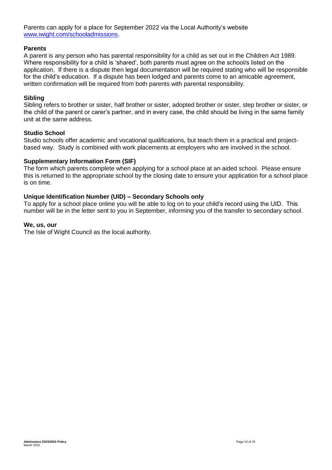Parents can apply for a place for September 2022 via the Local Authority's website [www.iwight.com/schooladmissions.](http://www.iwight.com/schooladmissions)

#### **Parents**

A parent is any person who has parental responsibility for a child as set out in the Children Act 1989. Where responsibility for a child is 'shared', both parents must agree on the school/s listed on the application. If there is a dispute then legal documentation will be required stating who will be responsible for the child's education. If a dispute has been lodged and parents come to an amicable agreement, written confirmation will be required from both parents with parental responsibility.

#### **Sibling**

Sibling refers to brother or sister, half brother or sister, adopted brother or sister, step brother or sister, or the child of the parent or carer's partner, and in every case, the child should be living in the same family unit at the same address.

#### **Studio School**

Studio schools offer academic and vocational qualifications, but teach them in a practical and projectbased way. Study is combined with work placements at employers who are involved in the school.

#### **Supplementary Information Form (SIF)**

The form which parents complete when applying for a school place at an aided school. Please ensure this is returned to the appropriate school by the closing date to ensure your application for a school place is on time.

#### **Unique Identification Number (UID) – Secondary Schools only**

To apply for a school place online you will be able to log on to your child's record using the UID. This number will be in the letter sent to you in September, informing you of the transfer to secondary school.

#### **We, us, our**

The Isle of Wight Council as the local authority.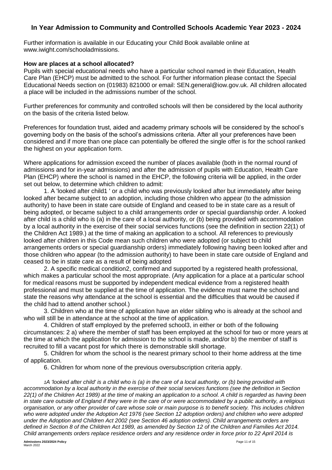# **In Year Admission to Community and Controlled Schools Academic Year 2023 - 2024**

Further information is available in our Educating your Child Book available online at www.iwight.com/schooladmissions.

#### **How are places at a school allocated?**

Pupils with special educational needs who have a particular school named in their Education, Health Care Plan (EHCP) must be admitted to the school. For further information please contact the Special Educational Needs section on (01983) 821000 or email: SEN.general@iow.gov.uk. All children allocated a place will be included in the admissions number of the school.

Further preferences for community and controlled schools will then be considered by the local authority on the basis of the criteria listed below.

Preferences for foundation trust, aided and academy primary schools will be considered by the school's governing body on the basis of the school's admissions criteria. After all your preferences have been considered and if more than one place can potentially be offered the single offer is for the school ranked the highest on your application form.

Where applications for admission exceed the number of places available (both in the normal round of admissions and for in-year admissions) and after the admission of pupils with Education, Health Care Plan (EHCP) where the school is named in the EHCP, the following criteria will be applied, in the order set out below, to determine which children to admit:

1. A 'looked after child1 ' or a child who was previously looked after but immediately after being looked after became subject to an adoption, including those children who appear (to the admission authority) to have been in state care outside of England and ceased to be in state care as a result of being adopted, or became subject to a child arrangements order or special guardianship order. A looked after child is a child who is (a) in the care of a local authority, or (b) being provided with accommodation by a local authority in the exercise of their social services functions (see the definition in section 22(1) of the Children Act 1989.) at the time of making an application to a school. All references to previously looked after children in this Code mean such children who were adopted (or subject to child arrangements orders or special guardianship orders) immediately following having been looked after and those children who appear (to the admission authority) to have been in state care outside of England and ceased to be in state care as a result of being adopted

2. A specific medical condition2, confirmed and supported by a registered health professional, which makes a particular school the most appropriate. (Any application for a place at a particular school for medical reasons must be supported by independent medical evidence from a registered health professional and must be supplied at the time of application. The evidence must name the school and state the reasons why attendance at the school is essential and the difficulties that would be caused if the child had to attend another school.)

3. Children who at the time of application have an elder sibling who is already at the school and who will still be in attendance at the school at the time of application.

4. Children of staff employed by the preferred school3, in either or both of the following circumstances: 2 a) where the member of staff has been employed at the school for two or more years at the time at which the application for admission to the school is made, and/or b) the member of staff is recruited to fill a vacant post for which there is demonstrable skill shortage.

5. Children for whom the school is the nearest primary school to their home address at the time of application.

6. Children for whom none of the previous oversubscription criteria apply.

*1A 'looked after child' is a child who is (a) in the care of a local authority, or (b) being provided with accommodation by a local authority in the exercise of their social services functions (see the definition in Section 22(1) of the Children Act 1989) at the time of making an application to a school. A child is regarded as having been in state care outside of England if they were in the care of or were accommodated by a public authority, a religious organisation, or any other provider of care whose sole or main purpose is to benefit society. This includes children who were adopted under the Adoption Act 1976 (see Section 12 adoption orders) and children who were adopted under the Adoption and Children Act 2002 (see Section 46 adoption orders). Child arrangements orders are defined in Section 8 of the Children Act 1989, as amended by Section 12 of the Children and Families Act 2014. Child arrangements orders replace residence orders and any residence order in force prior to 22 April 2014 is*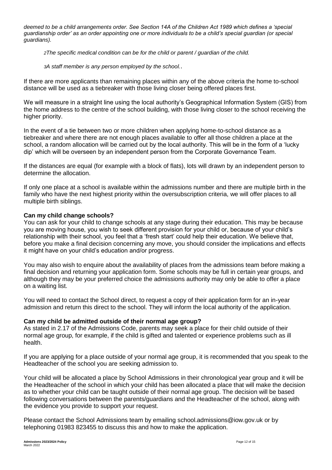*deemed to be a child arrangements order. See Section 14A of the Children Act 1989 which defines a 'special guardianship order' as an order appointing one or more individuals to be a child's special guardian (or special guardians).* 

*2The specific medical condition can be for the child or parent / guardian of the child.* 

*<sup>3</sup>A staff member is any person employed by the school.*.

If there are more applicants than remaining places within any of the above criteria the home to-school distance will be used as a tiebreaker with those living closer being offered places first.

We will measure in a straight line using the local authority's Geographical Information System (GIS) from the home address to the centre of the school building, with those living closer to the school receiving the higher priority.

In the event of a tie between two or more children when applying home-to-school distance as a tiebreaker and where there are not enough places available to offer all those children a place at the school, a random allocation will be carried out by the local authority. This will be in the form of a 'lucky dip' which will be overseen by an independent person from the Corporate Governance Team.

If the distances are equal (for example with a block of flats), lots will drawn by an independent person to determine the allocation.

If only one place at a school is available within the admissions number and there are multiple birth in the family who have the next highest priority within the oversubscription criteria, we will offer places to all multiple birth siblings.

# **Can my child change schools?**

You can ask for your child to change schools at any stage during their education. This may be because you are moving house, you wish to seek different provision for your child or, because of your child's relationship with their school, you feel that a 'fresh start' could help their education. We believe that, before you make a final decision concerning any move, you should consider the implications and effects it might have on your child's education and/or progress.

You may also wish to enquire about the availability of places from the admissions team before making a final decision and returning your application form. Some schools may be full in certain year groups, and although they may be your preferred choice the admissions authority may only be able to offer a place on a waiting list.

You will need to contact the School direct, to request a copy of their application form for an in-year admission and return this direct to the school. They will inform the local authority of the application.

# **Can my child be admitted outside of their normal age group?**

As stated in 2.17 of the Admissions Code, parents may seek a place for their child outside of their normal age group, for example, if the child is gifted and talented or experience problems such as ill health.

If you are applying for a place outside of your normal age group, it is recommended that you speak to the Headteacher of the school you are seeking admission to.

Your child will be allocated a place by School Admissions in their chronological year group and it will be the Headteacher of the school in which your child has been allocated a place that will make the decision as to whether your child can be taught outside of their normal age group. The decision will be based following conversations between the parents/guardians and the Headteacher of the school, along with the evidence you provide to support your request.

Please contact the School Admissions team by emailing school.admissions@iow.gov.uk or by telephoning 01983 823455 to discuss this and how to make the application.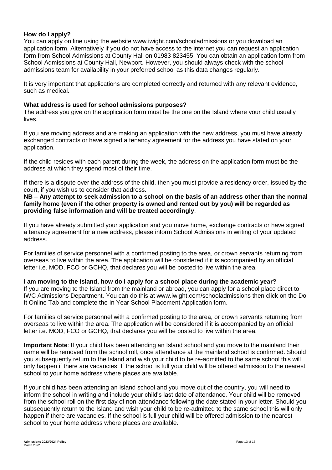#### **How do I apply?**

You can apply on line using the website www.iwight.com/schooladmissions or you download an application form. Alternatively if you do not have access to the internet you can request an application form from School Admissions at County Hall on 01983 823455. You can obtain an application form from School Admissions at County Hall, Newport. However, you should always check with the school admissions team for availability in your preferred school as this data changes regularly.

It is very important that applications are completed correctly and returned with any relevant evidence, such as medical.

#### **What address is used for school admissions purposes?**

The address you give on the application form must be the one on the Island where your child usually lives.

If you are moving address and are making an application with the new address, you must have already exchanged contracts or have signed a tenancy agreement for the address you have stated on your application.

If the child resides with each parent during the week, the address on the application form must be the address at which they spend most of their time.

If there is a dispute over the address of the child, then you must provide a residency order, issued by the court, if you wish us to consider that address.

**NB – Any attempt to seek admission to a school on the basis of an address other than the normal family home (even if the other property is owned and rented out by you) will be regarded as providing false information and will be treated accordingly**.

If you have already submitted your application and you move home, exchange contracts or have signed a tenancy agreement for a new address, please inform School Admissions in writing of your updated address.

For families of service personnel with a confirmed posting to the area, or crown servants returning from overseas to live within the area. The application will be considered if it is accompanied by an official letter i.e. MOD, FCO or GCHQ, that declares you will be posted to live within the area.

#### **I am moving to the Island, how do I apply for a school place during the academic year?**

If you are moving to the Island from the mainland or abroad, you can apply for a school place direct to IWC Admissions Department. You can do this at www.iwight.com/schooladmissions then click on the Do It Online Tab and complete the In Year School Placement Application form.

For families of service personnel with a confirmed posting to the area, or crown servants returning from overseas to live within the area. The application will be considered if it is accompanied by an official letter i.e. MOD, FCO or GCHQ, that declares you will be posted to live within the area.

**Important Note**: If your child has been attending an Island school and you move to the mainland their name will be removed from the school roll, once attendance at the mainland school is confirmed. Should you subsequently return to the Island and wish your child to be re-admitted to the same school this will only happen if there are vacancies. If the school is full your child will be offered admission to the nearest school to your home address where places are available.

If your child has been attending an Island school and you move out of the country, you will need to inform the school in writing and include your child's last date of attendance. Your child will be removed from the school roll on the first day of non-attendance following the date stated in your letter. Should you subsequently return to the Island and wish your child to be re-admitted to the same school this will only happen if there are vacancies. If the school is full your child will be offered admission to the nearest school to your home address where places are available.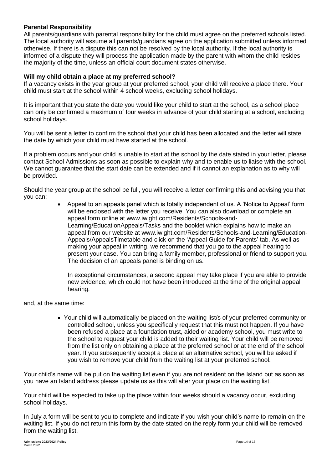# **Parental Responsibility**

All parents/guardians with parental responsibility for the child must agree on the preferred schools listed. The local authority will assume all parents/guardians agree on the application submitted unless informed otherwise. If there is a dispute this can not be resolved by the local authority. If the local authority is informed of a dispute they will process the application made by the parent with whom the child resides the majority of the time, unless an official court document states otherwise.

#### **Will my child obtain a place at my preferred school?**

If a vacancy exists in the year group at your preferred school, your child will receive a place there. Your child must start at the school within 4 school weeks, excluding school holidays.

It is important that you state the date you would like your child to start at the school, as a school place can only be confirmed a maximum of four weeks in advance of your child starting at a school, excluding school holidays.

You will be sent a letter to confirm the school that your child has been allocated and the letter will state the date by which your child must have started at the school.

If a problem occurs and your child is unable to start at the school by the date stated in your letter, please contact School Admissions as soon as possible to explain why and to enable us to liaise with the school. We cannot guarantee that the start date can be extended and if it cannot an explanation as to why will be provided.

Should the year group at the school be full, you will receive a letter confirming this and advising you that you can:

> Appeal to an appeals panel which is totally independent of us. A 'Notice to Appeal' form will be enclosed with the letter you receive. You can also download or complete an appeal form online at www.iwight.com/Residents/Schools-and-Learning/EducationAppeals/Tasks and the booklet which explains how to make an appeal from our website at www.iwight.com/Residents/Schools-and-Learning/Education-Appeals/AppealsTimetable and click on the 'Appeal Guide for Parents' tab. As well as making your appeal in writing, we recommend that you go to the appeal hearing to present your case. You can bring a family member, professional or friend to support you. The decision of an appeals panel is binding on us.

In exceptional circumstances, a second appeal may take place if you are able to provide new evidence, which could not have been introduced at the time of the original appeal hearing.

and, at the same time:

 Your child will automatically be placed on the waiting list/s of your preferred community or controlled school, unless you specifically request that this must not happen. If you have been refused a place at a foundation trust, aided or academy school, you must write to the school to request your child is added to their waiting list. Your child will be removed from the list only on obtaining a place at the preferred school or at the end of the school year. If you subsequently accept a place at an alternative school, you will be asked if you wish to remove your child from the waiting list at your preferred school.

Your child's name will be put on the waiting list even if you are not resident on the Island but as soon as you have an Island address please update us as this will alter your place on the waiting list.

Your child will be expected to take up the place within four weeks should a vacancy occur, excluding school holidays.

In July a form will be sent to you to complete and indicate if you wish your child's name to remain on the waiting list. If you do not return this form by the date stated on the reply form your child will be removed from the waiting list.